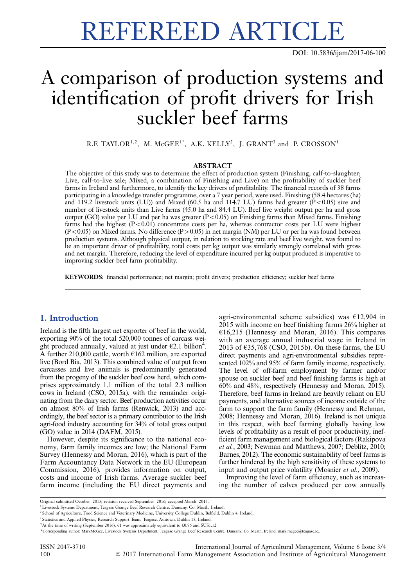# REFEREED ARTICLE

DOI: 10.5836/ijam/2017-06-100

# A comparison of production systems and identification of profit drivers for Irish suckler beef farms

R.F. TAYLOR<sup>1,2</sup>, M. McGEE<sup>1\*</sup>, A.K. KELLY<sup>2</sup>, J. GRANT<sup>3</sup> and P. CROSSON<sup>1</sup>

#### ABSTRACT

The objective of this study was to determine the effect of production system (Finishing, calf-to-slaughter; Live, calf-to-live sale; Mixed, a combination of Finishing and Live) on the profitability of suckler beef farms in Ireland and furthermore, to identify the key drivers of profitability. The financial records of 38 farms participating in a knowledge transfer programme, over a 7 year period, were used. Finishing (58.4 hectares (ha) and 119.2 livestock units (LU)) and Mixed (60.5 ha and 114.7 LU) farms had greater  $(P<0.05)$  size and number of livestock units than Live farms (45.0 ha and 84.4 LU). Beef live weight output per ha and gross output (GO) value per LU and per ha was greater  $(P<0.05)$  on Finishing farms than Mixed farms. Finishing farms had the highest  $(P<0.01)$  concentrate costs per ha, whereas contractor costs per LU were highest  $(P<0.05)$  on Mixed farms. No difference  $(P>0.05)$  in net margin (NM) per LU or per ha was found between production systems. Although physical output, in relation to stocking rate and beef live weight, was found to be an important driver of profitability, total costs per kg output was similarly strongly correlated with gross and net margin. Therefore, reducing the level of expenditure incurred per kg output produced is imperative to improving suckler beef farm profitability.

KEYWORDS: financial performance; net margin; profit drivers; production efficiency; suckler beef farms

# 1. Introduction

Ireland is the fifth largest net exporter of beef in the world, exporting 90% of the total 520,000 tonnes of carcass weight produced annually, valued at just under  $E$ 2.1 billion<sup>4</sup>. A further 210,000 cattle, worth  $E162$  million, are exported live (Bord Bia, 2013). This combined value of output from carcasses and live animals is predominantly generated from the progeny of the suckler beef cow herd, which comprises approximately 1.1 million of the total 2.3 million cows in Ireland (CSO, 2015a), with the remainder originating from the dairy sector. Beef production activities occur on almost 80% of Irish farms (Renwick, 2013) and accordingly, the beef sector is a primary contributor to the Irish agri-food industry accounting for 34% of total gross output (GO) value in 2014 (DAFM, 2015).

However, despite its significance to the national economy, farm family incomes are low; the National Farm Survey (Hennessy and Moran, 2016), which is part of the Farm Accountancy Data Network in the EU (European Commission, 2016), provides information on output, costs and income of Irish farms. Average suckler beef farm income (including the EU direct payments and agri-environmental scheme subsidies) was  $£12,904$  in 2015 with income on beef finishing farms 26% higher at  $£16,215$  (Hennessy and Moran, 2016). This compares with an average annual industrial wage in Ireland in 2013 of  $\epsilon$ 35,768 (CSO, 2015b). On these farms, the EU direct payments and agri-environmental subsidies represented 102% and 95% of farm family income, respectively. The level of off-farm employment by farmer and/or spouse on suckler beef and beef finishing farms is high at 60% and 48%, respectively (Hennessy and Moran, 2015). Therefore, beef farms in Ireland are heavily reliant on EU payments, and alternative sources of income outside of the farm to support the farm family (Hennessy and Rehman, 2008; Hennessy and Moran, 2016). Ireland is not unique in this respect, with beef farming globally having low levels of profitability as a result of poor productivity, inefficient farm management and biological factors (Rakipova et al., 2003; Newman and Matthews, 2007; Deblitz, 2010; Barnes, 2012). The economic sustainability of beef farms is further hindered by the high sensitivity of these systems to input and output price volatility (Mosnier et al., 2009).

Improving the level of farm efficiency, such as increasing the number of calves produced per cow annually

Original submitted October 2015; revision received September 2016; accepted March 2017.

<sup>&</sup>lt;sup>1</sup> Livestock Systems Department, Teagasc Grange Beef Research Centre, Dunsany, Co. Meath, Ireland.

<sup>&</sup>lt;sup>2</sup> School of Agriculture, Food Science and Veterinary Medicine, University College Dublin, Belfield, Dublin 4, Ireland.

<sup>&</sup>lt;sup>3</sup> Statistics and Applied Physics, Research Support Team, Teagasc, Ashtown, Dublin 15, Ireland

 $4$ At the time of writing (September 2016),  $61$  was approximately equivalent to £0.86 and \$US1.12.

<sup>\*</sup>Corresponding author: MarkMcGee, Livestock Systems Department, Teagasc Grange Beef Research Centre, Dunsany, Co. Meath, Ireland. mark.mcgee@teagasc.ie..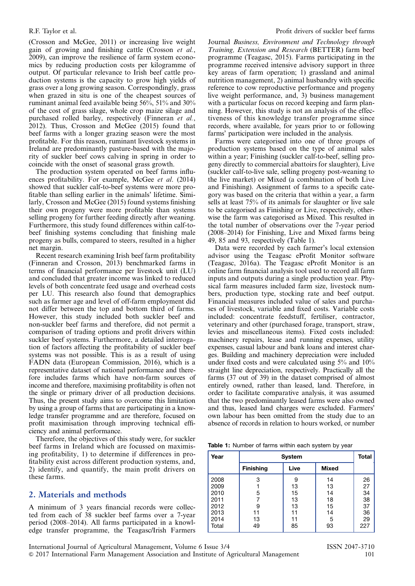(Crosson and McGee, 2011) or increasing live weight gain of growing and finishing cattle (Crosson et al., 2009), can improve the resilience of farm system economics by reducing production costs per kilogramme of output. Of particular relevance to Irish beef cattle production systems is the capacity to grow high yields of grass over a long growing season. Correspondingly, grass when grazed in situ is one of the cheapest sources of ruminant animal feed available being 56%, 51% and 30% of the cost of grass silage, whole crop maize silage and purchased rolled barley, respectively (Finneran et al., 2012). Thus, Crosson and McGee (2015) found that beef farms with a longer grazing season were the most profitable. For this reason, ruminant livestock systems in Ireland are predominantly pasture-based with the majority of suckler beef cows calving in spring in order to coincide with the onset of seasonal grass growth.

The production system operated on beef farms influences profitability. For example, McGee et al. (2014) showed that suckler calf-to-beef systems were more profitable than selling earlier in the animals' lifetime. Similarly, Crosson and McGee (2015) found systems finishing their own progeny were more profitable than systems selling progeny for further feeding directly after weaning. Furthermore, this study found differences within calf-tobeef finishing systems concluding that finishing male progeny as bulls, compared to steers, resulted in a higher net margin.

Recent research examining Irish beef farm profitability (Finneran and Crosson, 2013) benchmarked farms in terms of financial performance per livestock unit (LU) and concluded that greater income was linked to reduced levels of both concentrate feed usage and overhead costs per LU. This research also found that demographics such as farmer age and level of off-farm employment did not differ between the top and bottom third of farms. However, this study included both suckler beef and non-suckler beef farms and therefore, did not permit a comparison of trading options and profit drivers within suckler beef systems. Furthermore, a detailed interrogation of factors affecting the profitability of suckler beef systems was not possible. This is as a result of using FADN data (European Commission, 2016), which is a representative dataset of national performance and therefore includes farms which have non-farm sources of income and therefore, maximising profitability is often not the single or primary driver of all production decisions. Thus, the present study aims to overcome this limitation by using a group of farms that are participating in a knowledge transfer programme and are therefore, focused on profit maximisation through improving technical efficiency and animal performance.

Therefore, the objectives of this study were, for suckler beef farms in Ireland which are focussed on maximising profitability, 1) to determine if differences in profitability exist across different production systems, and, 2) identify, and quantify, the main profit drivers on these farms.

# 2. Materials and methods

A minimum of 3 years financial records were collected from each of 38 suckler beef farms over a 7-year period (2008–2014). All farms participated in a knowledge transfer programme, the Teagasc/Irish Farmers Journal Business, Environment and Technology through Training, Extension and Research (BETTER) farm beef programme (Teagasc, 2015). Farms participating in the programme received intensive advisory support in three key areas of farm operation; 1) grassland and animal nutrition management, 2) animal husbandry with specific reference to cow reproductive performance and progeny live weight performance, and, 3) business management with a particular focus on record keeping and farm planning. However, this study is not an analysis of the effectiveness of this knowledge transfer programme since records, where available, for years prior to or following farms' participation were included in the analysis.

Farms were categorised into one of three groups of production systems based on the type of animal sales within a year; Finishing (suckler calf-to-beef, selling progeny directly to commercial abattoirs for slaughter), Live (suckler calf-to-live sale, selling progeny post-weaning to the live market) or Mixed (a combination of both Live and Finishing). Assignment of farms to a specific category was based on the criteria that within a year, a farm sells at least 75% of its animals for slaughter or live sale to be categorised as Finishing or Live, respectively, otherwise the farm was categorised as Mixed. This resulted in the total number of observations over the 7-year period (2008–2014) for Finishing, Live and Mixed farms being 49, 85 and 93, respectively (Table 1).

Data were recorded by each farmer's local extension advisor using the Teagasc eProfit Monitor software (Teagasc, 2016a). The Teagasc eProfit Monitor is an online farm financial analysis tool used to record all farm inputs and outputs during a single production year. Physical farm measures included farm size, livestock numbers, production type, stocking rate and beef output. Financial measures included value of sales and purchases of livestock, variable and fixed costs. Variable costs included: concentrate feedstuff, fertiliser, contractor, veterinary and other (purchased forage, transport, straw, levies and miscellaneous items). Fixed costs included: machinery repairs, lease and running expenses, utility expenses, casual labour and bank loans and interest charges. Building and machinery depreciation were included under fixed costs and were calculated using 5% and 10% straight line depreciation, respectively. Practically all the farms (37 out of 39) in the dataset comprised of almost entirely owned, rather than leased, land. Therefore, in order to facilitate comparative analysis, it was assumed that the two predominantly leased farms were also owned and thus, leased land charges were excluded. Farmers' own labour has been omitted from the study due to an absence of records in relation to hours worked, or number

|  |  | Table 1: Number of farms within each system by year |  |  |  |  |  |  |  |
|--|--|-----------------------------------------------------|--|--|--|--|--|--|--|
|--|--|-----------------------------------------------------|--|--|--|--|--|--|--|

| Year  |                  | <b>System</b> |              | <b>Total</b> |
|-------|------------------|---------------|--------------|--------------|
|       | <b>Finishing</b> | Live          | <b>Mixed</b> |              |
| 2008  | 3                | 9             | 14           | 26           |
| 2009  |                  | 13            | 13           | 27           |
| 2010  | 5                | 15            | 14           | 34           |
| 2011  |                  | 13            | 18           | 38           |
| 2012  | 9                | 13            | 15           | 37           |
| 2013  | 11               | 11            | 14           | 36           |
| 2014  | 13               | 11            | 5            | 29           |
| Total | 49               | 85            | 93           | 227          |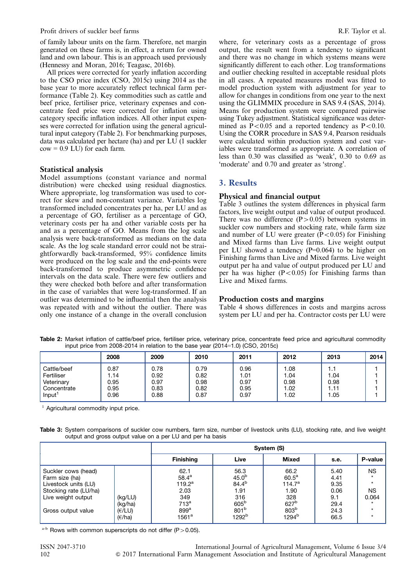of family labour units on the farm. Therefore, net margin generated on these farms is, in effect, a return for owned land and own labour. This is an approach used previously (Hennessy and Moran, 2016; Teagasc, 2016b).

All prices were corrected for yearly inflation according to the CSO price index (CSO, 2015c) using 2014 as the base year to more accurately reflect technical farm performance (Table 2). Key commodities such as cattle and beef price, fertiliser price, veterinary expenses and concentrate feed price were corrected for inflation using category specific inflation indices. All other input expenses were corrected for inflation using the general agricultural input category (Table 2). For benchmarking purposes, data was calculated per hectare (ha) and per LU (1 suckler  $cow = 0.9$  LU) for each farm.

## Statistical analysis

Model assumptions (constant variance and normal distribution) were checked using residual diagnostics. Where appropriate, log transformation was used to correct for skew and non-constant variance. Variables log transformed included concentrates per ha, per LU and as a percentage of GO, fertiliser as a percentage of GO, veterinary costs per ha and other variable costs per ha and as a percentage of GO. Means from the log scale analysis were back-transformed as medians on the data scale. As the log scale standard error could not be straightforwardly back-transformed, 95% confidence limits were produced on the log scale and the end-points were back-transformed to produce asymmetric confidence intervals on the data scale. There were few outliers and they were checked both before and after transformation in the case of variables that were log-transformed. If an outlier was determined to be influential then the analysis was repeated with and without the outlier. There was only one instance of a change in the overall conclusion where, for veterinary costs as a percentage of gross output, the result went from a tendency to significant and there was no change in which systems means were significantly different to each other. Log transformations and outlier checking resulted in acceptable residual plots in all cases. A repeated measures model was fitted to model production system with adjustment for year to allow for changes in conditions from one year to the next using the GLIMMIX procedure in SAS 9.4 (SAS, 2014). Means for production system were compared pairwise using Tukey adjustment. Statistical significance was determined as  $P < 0.05$  and a reported tendency as  $P < 0.10$ . Using the CORR procedure in SAS 9.4, Pearson residuals were calculated within production system and cost variables were transformed as appropriate. A correlation of less than 0.30 was classified as 'weak', 0.30 to 0.69 as 'moderate' and 0.70 and greater as 'strong'.

# 3. Results

# Physical and financial output

Table 3 outlines the system differences in physical farm factors, live weight output and value of output produced. There was no difference  $(P>0.05)$  between systems in suckler cow numbers and stocking rate, while farm size and number of LU were greater  $(P<0.05)$  for Finishing and Mixed farms than Live farms. Live weight output per LU showed a tendency (P=0.064) to be higher on Finishing farms than Live and Mixed farms. Live weight output per ha and value of output produced per LU and per ha was higher  $(P<0.05)$  for Finishing farms than Live and Mixed farms.

# Production costs and margins

[Table 4](#page-3-0) shows differences in costs and margins across system per LU and per ha. Contractor costs per LU were

Table 2: Market inflation of cattle/beef price, fertiliser price, veterinary price, concentrate feed price and agricultural commodity input price from 2008-2014 in relation to the base year (2014=1.0) (CSO, 2015c)

|                    | 2008 | 2009 | 2010 | 2011 | 2012 | 2013 | 2014 |
|--------------------|------|------|------|------|------|------|------|
| Cattle/beef        | 0.87 | 0.78 | 0.79 | 0.96 | 1.08 | 1.1  |      |
| Fertiliser         | .14  | 0.92 | 0.82 | 1.01 | 1.04 | 1.04 |      |
| Veterinary         | 0.95 | 0.97 | 0.98 | 0.97 | 0.98 | 0.98 |      |
| Concentrate        | 0.95 | 0.83 | 0.82 | 0.95 | 1.02 | 1.11 |      |
| Input <sup>1</sup> | 0.96 | 0.88 | 0.87 | 0.97 | 1.02 | .05  |      |

 $1$  Agricultural commodity input price.

Table 3: System comparisons of suckler cow numbers, farm size, number of livestock units (LU), stocking rate, and live weight output and gross output value on a per LU and per ha basis

|                                                                                                                                    |                                        |                                                                                                               |                                                                                                                     | System (S)                                                                                             |                                                             |                                                       |
|------------------------------------------------------------------------------------------------------------------------------------|----------------------------------------|---------------------------------------------------------------------------------------------------------------|---------------------------------------------------------------------------------------------------------------------|--------------------------------------------------------------------------------------------------------|-------------------------------------------------------------|-------------------------------------------------------|
|                                                                                                                                    |                                        | <b>Finishing</b>                                                                                              | Live                                                                                                                | <b>Mixed</b>                                                                                           | s.e.                                                        | <b>P-value</b>                                        |
| Suckler cows (head)<br>Farm size (ha)<br>Livestock units (LU)<br>Stocking rate (LU/ha)<br>Live weight output<br>Gross output value | (kg/LU)<br>(kg/ha)<br>(E/LU)<br>(E/ha) | 62.1<br>$58.4^{\rm a}$<br>$119.2^a$<br>2.03<br>349<br>713 <sup>a</sup><br>899 <sup>a</sup><br>1561 $^{\rm a}$ | 56.3<br>45.0 <sup>b</sup><br>$84.4^{b}$<br>1.91<br>316<br>605 <sup>b</sup><br>801 <sup>b</sup><br>1292 <sup>b</sup> | 66.2<br>60.5 <sup>a</sup><br>114.7 <sup>a</sup><br>1.90<br>328<br>627 <sup>b</sup><br>803b<br>$1294^b$ | 5.40<br>4.41<br>9.35<br>0.06<br>9.1<br>29.4<br>24.3<br>66.5 | <b>NS</b><br>$\star$<br><b>NS</b><br>0.064<br>$\star$ |

a-b Rows with common superscripts do not differ (P > 0.05).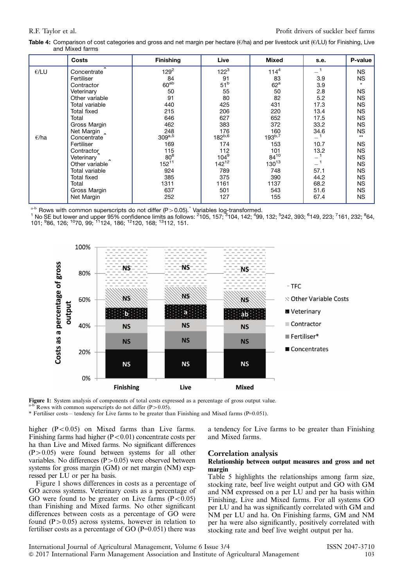<span id="page-3-0"></span>Table 4: Comparison of cost categories and gross and net margin per hectare ( $\epsilon$ /ha) and per livestock unit ( $\epsilon$ /LU) for Finishing, Live and Mixed farms

|                | Costs              | <b>Finishing</b> | Live            | <b>Mixed</b>      | s.e. | P-value   |
|----------------|--------------------|------------------|-----------------|-------------------|------|-----------|
| E/LU           | Concentrate        | $129^2$          | $122^{3}$       | 114 <sup>4</sup>  |      | <b>NS</b> |
|                | Fertiliser         | 84               | 91              | 83                | 3.9  | <b>NS</b> |
|                | Contractor         | 60 <sup>ab</sup> | 51 <sup>b</sup> | $62^{\mathrm{a}}$ | 3.9  |           |
|                | Veterinary         | 50               | 55              | 50                | 2.8  | <b>NS</b> |
|                | Other variable     | 91               | 80              | 82                | 5.2  | <b>NS</b> |
|                | Total variable     | 440              | 425             | 431               | 17.3 | <b>NS</b> |
|                | <b>Total fixed</b> | 215              | 206             | 220               | 13.4 | <b>NS</b> |
|                | Total              | 646              | 627             | 652               | 17.5 | <b>NS</b> |
|                | Gross Margin       | 462              | 383             | 372               | 33.2 | <b>NS</b> |
|                | Net Margin         | 248              | 176             | 160               | 34.6 | <b>NS</b> |
| $\epsilon$ /ha | Concentrate        | $309^{a,5}$      | $182^{b,6}$     | $193^{b,7}$       |      | $**$      |
|                | Fertiliser         | 169              | 174             | 153               | 10.7 | <b>NS</b> |
|                | Contractor         | 115              | 112             | 101               | 13.2 | <b>NS</b> |
|                | Veterinary         | 80 <sup>8</sup>  | $104^9$         | $84^{10}$         | $-1$ | <b>NS</b> |
|                | Other variable     | $152^{11}$       | $142^{12}$      | $130^{13}$        |      | <b>NS</b> |
|                | Total variable     | 924              | 789             | 748               | 57.1 | <b>NS</b> |
|                | <b>Total fixed</b> | 385              | 375             | 390               | 44.2 | <b>NS</b> |
|                | Total              | 1311             | 1161            | 1137              | 68.2 | <b>NS</b> |
|                | Gross Margin       | 637              | 501             | 543               | 51.6 | <b>NS</b> |
|                | Net Margin         | 252              | 127             | 155               | 67.4 | <b>NS</b> |

<sup>a-b</sup> Rows with common superscripts do not differ (P>0.05).ˆ Variables log-transformed.<br><sup>1</sup> No SE but lower and upper 95% confidence limits as follows: <sup>2</sup>105, 157; <sup>3</sup>104, 142; <sup>4</sup>99, 132; <sup>5</sup>242, 393; <sup>6</sup>149, 223; <sup>7</sup>16 101; <sup>9</sup>86, 126; <sup>10</sup>70, 99; <sup>11</sup>124, 186; <sup>12</sup>120, 168; <sup>13</sup>112, 151.



**Figure 1:** System analysis of components of total costs expressed as a percentage of gross output value.  $a-b$  Rows with common superscripts do not differ (P > 0.05).

\* Fertiliser costs – tendency for Live farms to be greater than Finishing and Mixed farms (P=0.051).

higher  $(P<0.05)$  on Mixed farms than Live farms. Finishing farms had higher  $(P<0.01)$  concentrate costs per ha than Live and Mixed farms. No significant differences  $(P>0.05)$  were found between systems for all other variables. No differences  $(P>0.05)$  were observed between systems for gross margin (GM) or net margin (NM) expressed per LU or per ha basis.

Figure 1 shows differences in costs as a percentage of GO across systems. Veterinary costs as a percentage of GO were found to be greater on Live farms  $(P<0.05)$ than Finishing and Mixed farms. No other significant differences between costs as a percentage of GO were found  $(P>0.05)$  across systems, however in relation to fertiliser costs as a percentage of GO  $(P=0.051)$  there was

#### Correlation analysis

and Mixed farms.

## Relationship between output measures and gross and net margin

a tendency for Live farms to be greater than Finishing

[Table 5](#page-4-0) highlights the relationships among farm size, stocking rate, beef live weight output and GO with GM and NM expressed on a per LU and per ha basis within Finishing, Live and Mixed farms. For all systems GO per LU and ha was significantly correlated with GM and NM per LU and ha. On Finishing farms, GM and NM per ha were also significantly, positively correlated with stocking rate and beef live weight output per ha.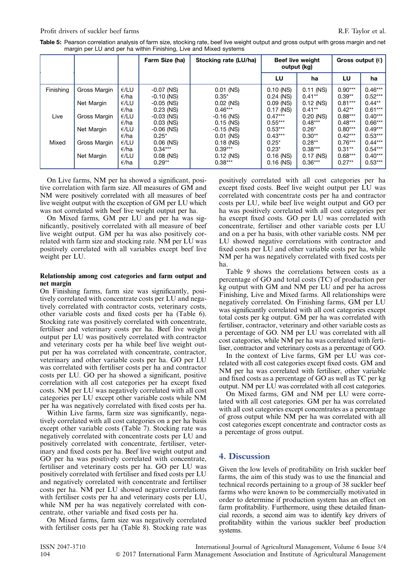<span id="page-4-0"></span>

| Table 5: Pearson correlation analysis of farm size, stocking rate, beef live weight output and gross output with gross margin and net |
|---------------------------------------------------------------------------------------------------------------------------------------|
| margin per LU and per ha within Finishing, Live and Mixed systems                                                                     |

|           |              |                        | Farm Size (ha)               | Stocking rate (LU/ha)       |                            | <b>Beef live weight</b><br>output (kg) | Gross output $(\epsilon)$ |                        |
|-----------|--------------|------------------------|------------------------------|-----------------------------|----------------------------|----------------------------------------|---------------------------|------------------------|
|           |              |                        |                              |                             | LU                         | ha                                     | LU                        | ha                     |
| Finishing | Gross Margin | E/LU<br>$\epsilon$ /ha | $-0.07$ (NS)<br>$-0.10$ (NS) | $0.01$ (NS)<br>$0.35*$      | $0.10$ (NS)<br>$0.24$ (NS) | $0.11$ (NS)<br>$0.41***$               | $0.90***$<br>$0.39**$     | $0.46***$<br>$0.52***$ |
|           | Net Margin   | E/LU<br>$\epsilon$ /ha | $-0.05$ (NS)<br>$0.23$ (NS)  | $0.02$ (NS)<br>$0.46***$    | $0.09$ (NS)<br>$0.17$ (NS) | $0.12$ (NS)<br>$0.41***$               | $0.81***$<br>$0.42***$    | $0.44**$<br>$0.61***$  |
| Live      | Gross Margin | E/LU<br>$\epsilon$ /ha | $-0.03$ (NS)<br>$0.03$ (NS)  | $-0.16$ (NS)<br>$0.15$ (NS) | $0.47***$<br>$0.55***$     | $0.20$ (NS)<br>$0.48***$               | $0.88***$<br>$0.48***$    | $0.40***$<br>$0.66***$ |
|           | Net Margin   | E/LU<br>$\epsilon$ /ha | $-0.06$ (NS)<br>$0.25*$      | $-0.15$ (NS)<br>$0.01$ (NS) | $0.53***$<br>$0.43***$     | $0.26*$<br>$0.30**$                    | $0.80***$<br>$0.42***$    | $0.49***$<br>$0.53***$ |
| Mixed     | Gross Margin | E/LU<br>E/ha           | $0.06$ (NS)<br>$0.34***$     | $0.18$ (NS)<br>$0.39***$    | $0.25*$<br>$0.23*$         | $0.28**$<br>$0.38***$                  | $0.76***$<br>$0.31**$     | $0.44***$<br>$0.54***$ |
|           | Net Margin   | E/LU<br>E/ha           | $0.08$ (NS)<br>$0.29**$      | $0.12$ (NS)<br>$0.38***$    | $0.16$ (NS)<br>$0.16$ (NS) | $0.17$ (NS)<br>$0.36***$               | $0.68***$<br>$0.27**$     | $0.40***$<br>$0.53***$ |

On Live farms, NM per ha showed a significant, positive correlation with farm size. All measures of GM and NM were positively correlated with all measures of beef live weight output with the exception of GM per LU which was not correlated with beef live weight output per ha.

On Mixed farms, GM per LU and per ha was significantly, positively correlated with all measure of beef live weight output. GM per ha was also positively correlated with farm size and stocking rate. NM per LU was positively correlated with all variables except beef live weight per LU.

### Relationship among cost categories and farm output and net margin

On Finishing farms, farm size was significantly, positively correlated with concentrate costs per LU and negatively correlated with contractor costs, veterinary costs, other variable costs and fixed costs per ha [\(Table 6](#page-5-0)). Stocking rate was positively correlated with concentrate, fertiliser and veterinary costs per ha. Beef live weight output per LU was positively correlated with contractor and veterinary costs per ha while beef live weight output per ha was correlated with concentrate, contractor, veterinary and other variable costs per ha. GO per LU was correlated with fertiliser costs per ha and contractor costs per LU. GO per ha showed a significant, positive correlation with all cost categories per ha except fixed costs. NM per LU was negatively correlated with all cost categories per LU except other variable costs while NM per ha was negatively correlated with fixed costs per ha.

Within Live farms, farm size was significantly, negatively correlated with all cost categories on a per ha basis except other variable costs ([Table 7\)](#page-5-0). Stocking rate was negatively correlated with concentrate costs per LU and positively correlated with concentrate, fertiliser, veterinary and fixed costs per ha. Beef live weight output and GO per ha was positively correlated with concentrate, fertiliser and veterinary costs per ha. GO per LU was positively correlated with fertiliser and fixed costs per LU and negatively correlated with concentrate and fertiliser costs per ha. NM per LU showed negative correlations with fertiliser costs per ha and veterinary costs per LU, while NM per ha was negatively correlated with concentrate, other variable and fixed costs per ha.

On Mixed farms, farm size was negatively correlated with fertiliser costs per ha ([Table 8\)](#page-6-0). Stocking rate was positively correlated with all cost categories per ha except fixed costs. Beef live weight output per LU was correlated with concentrate costs per ha and contractor costs per LU, while beef live weight output and GO per ha was positively correlated with all cost categories per ha except fixed costs. GO per LU was correlated with concentrate, fertiliser and other variable costs per LU and on a per ha basis, with other variable costs. NM per LU showed negative correlations with contractor and fixed costs per LU and other variable costs per ha, while NM per ha was negatively correlated with fixed costs per ha.

[Table 9](#page-6-0) shows the correlations between costs as a percentage of GO and total costs (TC) of production per kg output with GM and NM per LU and per ha across Finishing, Live and Mixed farms. All relationships were negatively correlated. On Finishing farms, GM per LU was significantly correlated with all cost categories except total costs per kg output. GM per ha was correlated with fertiliser, contractor, veterinary and other variable costs as a percentage of GO. NM per LU was correlated with all cost categories, while NM per ha was correlated with fertiliser, contractor and veterinary costs as a percentage of GO.

In the context of Live farms, GM per LU was correlated with all cost categories except fixed costs. GM and NM per ha was correlated with fertiliser, other variable and fixed costs as a percentage of GO as well as TC per kg output. NM per LU was correlated with all cost categories.

On Mixed farms, GM and NM per LU were correlated with all cost categories. GM per ha was correlated with all cost categories except concentrates as a percentage of gross output while NM per ha was correlated with all cost categories except concentrate and contractor costs as a percentage of gross output.

# 4. Discussion

Given the low levels of profitability on Irish suckler beef farms, the aim of this study was to use the financial and technical records pertaining to a group of 38 suckler beef farms who were known to be commercially motivated in order to determine if production system has an effect on farm profitability. Furthermore, using these detailed financial records, a second aim was to identify key drivers of profitability within the various suckler beef production systems.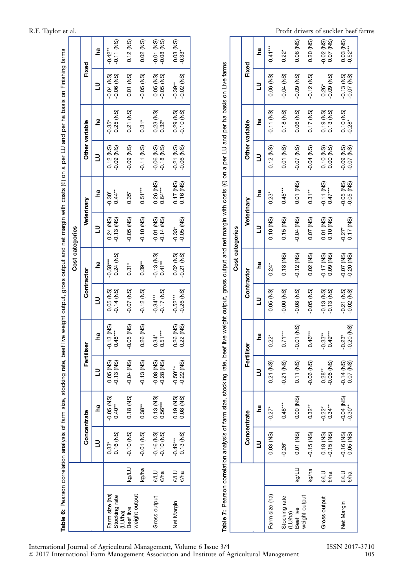<span id="page-5-0"></span>

| R.F. Taylor et al. |  |
|--------------------|--|
|                    |  |

| Table 6: Pearson correlation analysis of farm size, stocking rate, beef live weight output, gross output and net margin with costs (e) on a per LU and per ha basis on Finishing farms |             |                              |                          |                              |                           |                            |                           |                              |                        |                              |                        |                              |                              |
|----------------------------------------------------------------------------------------------------------------------------------------------------------------------------------------|-------------|------------------------------|--------------------------|------------------------------|---------------------------|----------------------------|---------------------------|------------------------------|------------------------|------------------------------|------------------------|------------------------------|------------------------------|
|                                                                                                                                                                                        |             |                              |                          |                              |                           |                            | Cost categories           |                              |                        |                              |                        |                              |                              |
|                                                                                                                                                                                        |             | Concentrate                  |                          | Fertiliser                   |                           | Contractor                 |                           | Veterinary                   |                        |                              | Other variable         | Fixed                        |                              |
|                                                                                                                                                                                        |             |                              | g                        |                              | g                         |                            | gq                        |                              | <b>Rd</b>              |                              | g                      |                              | e.                           |
| Farm size (ha)<br>Stocking rate                                                                                                                                                        |             | 0.16 (NS)<br>$0.33*$         | $-0.05$ (NS)<br>$0.40**$ | 0.05 (NS)<br>$-0.13$ (NS)    | $-0.13$ (NS)<br>$0.48***$ | 0.05 (NS)<br>$-0.14$ (NS)  | $0.24$ (NS)<br>$-0.58***$ | $-0.13$ (NS)<br>$0.24$ (NS)  | $0.44**$<br>$-0.30*$   | $0.12$ (NS)<br>$-0.09$ (NS)  | 0.25 (NS)<br>$-0.35*$  | $-0.06$ (NS)<br>$-0.04$ (NS) | $-0.11$ (NS)<br>$-0.42**$    |
| Beef live<br>(LU/ha)                                                                                                                                                                   | kg/LU       | $-0.10$ (NS)                 | 0.18 (NS)                | $-0.04$ (NS)                 | $-0.05$ (NS)              | -0.07 (NS)                 | $0.31*$                   | $-0.05$ (NS)                 | $0.35*$                | $-0.09$ (NS)                 | 0.21 (NS)              | 0.01(NS)                     | $0.12$ (NS)                  |
| weight output                                                                                                                                                                          | kg/ha       | $-0.01$ (NS)                 | $0.38**$                 | $-0.13$ (NS)                 | 0.26 (NS)                 | $-0.12$ (NS)               | $0.39***$                 | $-0.10$ (NS)                 | $0.51***$              | $-0.11$ (NS)                 | $0.31*$                | $-0.05$ (NS)                 | 0.02 (NS)                    |
| Gross output                                                                                                                                                                           | elu<br>e/ha | $-0.16$ (NS)<br>$-0.10$ (NS) | 0.13 (NS)<br>$0.56***$   | $-0.08$ (NS)<br>$-0.28$ (NS) | $0.51***$<br>$0.34*$      | $-0.17$ (NS)<br>$-0.34***$ | $-0.13$ (NS)<br>$0.41***$ | $-0.01$ (NS)<br>$-0.14$ (NS) | 0.26 (NS)<br>$0.64***$ | $-0.06$ (NS)<br>$-0.18$ (NS) | 0.23 (NS)<br>$0.32*$   | 0.05 (NS)<br>$-0.05$ (NS)    | $-0.01$ (NS)<br>$-0.08$ (NS) |
| Net Margin                                                                                                                                                                             | elu<br>e/ha | 0.13 (NS)<br>$-0.49***$      | 0.19 (NS)<br>$0.08$ (NS) | $-0.22$ (NS)<br>$-0.50***$   | 0.22 (NS)<br>0.26 (NS)    | $-0.26$ (NS)<br>$-0.52***$ | 0.02 (NS)<br>$-0.21$ (NS) | $-0.05$ (NS)<br>$-0.33*$     | 0.17 (NS)<br>0.16 (NS) | $0.21$ (NS)<br>$-0.06$ (NS)  | 0.29 (NS)<br>0.10 (NS) | $-0.02$ (NS)<br>$-0.39**$    | 0.03 (NS)<br>$-0.33*$        |
|                                                                                                                                                                                        |             |                              |                          |                              |                           |                            |                           |                              |                        |                              |                        |                              |                              |

Table 7: Pearson correlation analysis of farm size, stocking rate, beef live weight output, gross output and net margin with costs (e) on a per LU and per ha basis on Live farms Table 7: Pearson correlation analysis of farm size, stocking rate, beef live weight output, gross output and net margin with costs (h) on a per LU and per ha basis on Live farms

|                      |              |                             |                              |                           |                          |                              | Cost categories                                             |                          |                              |                              |                                   |                              |                           |
|----------------------|--------------|-----------------------------|------------------------------|---------------------------|--------------------------|------------------------------|-------------------------------------------------------------|--------------------------|------------------------------|------------------------------|-----------------------------------|------------------------------|---------------------------|
|                      |              | Concentrate                 |                              | Fertiliser                |                          | Contractor                   |                                                             | Veterinary               |                              |                              | Other variable                    | Fixed                        |                           |
|                      |              |                             | <b>na</b>                    |                           | gq                       | ∃                            | <b>B</b>                                                    |                          | <u>na</u>                    |                              | gq                                |                              | <b>Pa</b>                 |
| Farm size (ha)       |              | 0.03 (NS)                   | $-0.27*$                     | 0.21 (NS)                 | $-0.22*$                 | $-0.05$ (NS)                 | $-0.24*$                                                    | 0.10 (NS)                | $-0.23*$                     | $0.12$ (NS)                  | $-0.11$ (NS)                      | 0.06 (NS)                    | $-0.41***$                |
| Stocking rate        |              | $-0.26*$                    | $0.48***$                    | $-0.21$ (NS)              | $0.71***$                | $-0.00(NS)$                  | 0.18 (NS)                                                   | 0.15 (NS)                | $0.45***$                    | 0.01 (NS)                    | 0.18 (NS)                         | $-0.04$ (NS)                 | $0.22*$                   |
| (LU/ha)<br>Beef live | <b>Kg/LU</b> | 0.01 (NS)                   | 0.00 (NS)                    | 0.11 (NS)                 | $-0.01$ (NS)             | $-0.08$ (NS)                 | $-0.12$ (NS)                                                | $-0.04$ (NS)             | $0.01$ (NS)                  | $-0.07$ (NS)                 | 0.06 (NS)                         | $-0.09$ (NS)                 | 0.06 (NS)                 |
| weight output        | kg/ha        | $-0.15$ (NS)                | $0.32***$                    | $-0.06$ (NS)              | $0.46***$                | $-0.05$ (NS)                 | 0.02 (NS)                                                   | 0.07(NS)                 | $0.31**$                     | $-0.04$ (NS)                 | $0.17$ (NS)                       | $-0.12$ (NS)                 | 0.20 (NS)                 |
| Gross output         | e∕LU<br>€⁄ha | 0.18 (NS)<br>-0.15 (NS)     | $-0.22$ <sup>*</sup><br>0.34 | $-0.06$ (NS)<br>$0.28**$  | $0.49***$<br>$-0.33**$   | $-0.13$ (NS)<br>$-0.13$ (NS) | $\begin{array}{c} -0.17 \\ 0.09 \\ \hline \end{array}$ (NS) | $0.01(NS)$<br>$0.10(NS)$ | $-0.11$ (NS)<br>$0.47***$    | $0.10$ (NS)<br>0.00 (NS)     | 0.19 (NS)<br>0.13 (NS)            | $0.09$ (NS)<br>$0.26*$       | $-0.02$ (NS)<br>0.07 (NS) |
| Net Margin           | e∕LU<br>€⁄ha | $-0.16$ (NS)<br>$0.05$ (NS) | $-0.04$ (NS)<br>$-0.30**$    | $-0.14$ (NS)<br>0.07 (NS) | $-0.20$ (NS)<br>$-0.23*$ | $-0.21$ (NS)<br>$-0.02$ (NS) | $-0.07$ (NS)<br>$-0.20$<br>$-0.20$                          | $-0.27$ *<br>0.17 (NS)   | $-0.05$ (NS)<br>$-0.05$ (NS) | $-0.09$ (NS)<br>$-0.07$ (NS) | 0.10 (NS)<br>$-0.28$ <sup>*</sup> | $-0.13$ (NS)<br>$-0.07$ (NS) | $0.03$ (NS)<br>$-0.52***$ |
|                      |              |                             |                              |                           |                          |                              |                                                             |                          |                              |                              |                                   |                              |                           |

Profit drivers of suckler beef farms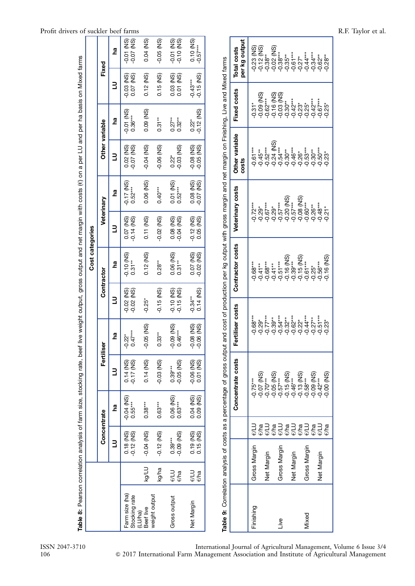<span id="page-6-0"></span>

| Profit drivers of suckler beef farms                                                                                                                                                   |                 |                |           |                                 |                      |               |                                     |                                           |                                                                                                                                                                        |                              |                               |                            |                            |                                          |                                          |                |                                    | R.F. Taylor et al. |
|----------------------------------------------------------------------------------------------------------------------------------------------------------------------------------------|-----------------|----------------|-----------|---------------------------------|----------------------|---------------|-------------------------------------|-------------------------------------------|------------------------------------------------------------------------------------------------------------------------------------------------------------------------|------------------------------|-------------------------------|----------------------------|----------------------------|------------------------------------------|------------------------------------------|----------------|------------------------------------|--------------------|
|                                                                                                                                                                                        |                 | Fixed          | ha        | $-0.01$ (NS)<br>$-0.07$ (NS)    | $0.04$ (NS)          | $-0.05$ (NS)  | $-0.01$ (NS)<br>$-0.10$ (NS)        | $0.10$ (NS)<br>$-0.57***$                 |                                                                                                                                                                        | per kg output<br>Total costs | $-0.23$ (NS)<br>$-0.12$ (NS)  | $-0.38**$                  | $-0.02$ (NS)<br>$-0.38***$ | $-0.61***$<br>$-0.35***$                 | $-0.44***$<br>$-0.27*$                   | $-0.34***$     | $-0.62**$                          |                    |
|                                                                                                                                                                                        |                 |                | $\exists$ | $-0.03$ (NS)<br>$0.07$ (NS)     | $0.12$ (NS)          | 0.15 (NS)     | 0.03 (NS)<br>0.01 (NS)              | $-0.15$ (NS)<br>$-0.43***$                |                                                                                                                                                                        |                              |                               |                            |                            |                                          |                                          |                |                                    |                    |
|                                                                                                                                                                                        |                 |                | ha        | $-0.01$ (NS)<br>$0.36***$       | 0.09 (NS)            | $0.31**$      | $0.27**$<br>$0.32***$               | $0.22^*$<br>$-0.12$ (NS)                  |                                                                                                                                                                        | <b>Fixed costs</b>           | $-0.09$ (NS)<br>$-0.31*$      | $-0.16$ (NS)<br>$-0.62***$ | $-0.03$ (NS)               | $-0.42***$<br>$-0.30**$                  | $-0.23*$<br>$-0.25*$                     | $-0.42***$     | $-0.67***$<br>$-0.25*$             |                    |
|                                                                                                                                                                                        |                 | Other variable | $\exists$ | 0.02 (NS)<br>-0.07 (NS)         | $-0.04$ (NS)         | $-0.06$ (NS)  | $-0.03$ (NS)<br>$0.22$ <sup>*</sup> | $-0.08$ (NS)<br>$-0.05$ (NS)              | Correlation analysis of costs as a percentage of gross output and cost of production per kg output with gross margin and net margin on Finishing, Live and Mixed farms | Other variable<br>costs      | $-0.61***$<br>$-0.45**$       | $-0.52***$                 | $-0.24$ (NS)<br>$-0.54***$ | $-0.46***$<br>$-0.30**$                  | $-0.26$<br>$-0.53$<br>$+0.30$<br>$-0.30$ |                | $-0.50***$                         |                    |
|                                                                                                                                                                                        |                 |                | <b>e</b>  | $-0.17$ (NS)<br>$0.52***$       | 0.06 (NS)            | $0.40***$     | $0.01$ (NS)<br>$0.52***$            | 0.08 (NS)<br>-0.07 (NS)                   |                                                                                                                                                                        | Veterinary costs             |                               |                            |                            | $-0.20$ (NS)                             | $-0.08$ (NS)                             |                |                                    |                    |
|                                                                                                                                                                                        |                 | Veterinary     | Ε         | 0.07 (NS)<br>-0.14 (NS)         | $0.11$ (NS)          | $-0.02$ (NS)  | 0.08 (NS)<br>-0.04 (NS)             | $-0.12$ (NS)<br>$0.05$ (NS)               |                                                                                                                                                                        |                              | $-0.72***$<br>$-0.29*$        | $-0.67***$<br>$-0.29*$     | $-0.57***$                 | $-0.57***$                               | $-0.60***$                               | $-0.26**$      | $-0.48***$<br>$-0.21$ <sup>*</sup> |                    |
|                                                                                                                                                                                        | Cost categories |                | <b>na</b> | $-0.10$ (NS)<br>$0.31**$        | $0.12$ (NS)          | $0.28***$     | $0.06$ (NS)<br>$0.31***$            | 0.07 (NS)<br>-0.02 (NS)                   |                                                                                                                                                                        | Contractor costs             | $-0.68***$<br>$-0.41**$       | $-0.68***$<br>$-0.41**$    | $-0.51***$                 | $-0.16$ (NS)<br>$-0.39***$               | $-0.15$ (NS)<br>$-0.61***$               | $-0.25*$       | $-0.16$ (NS)<br>$-0.56***$         |                    |
|                                                                                                                                                                                        |                 | Contractor     | $\exists$ | $-0.02$ (NS)<br>$-0.02$ (NS)    | $-0.25*$             | $-0.15$ (NS)  | $-0.10$ (NS)<br>$-0.15$ (NS)        | $-0.34**$<br>0.14 (NS)                    |                                                                                                                                                                        |                              |                               |                            |                            |                                          |                                          |                |                                    |                    |
|                                                                                                                                                                                        |                 |                | <b>e</b>  | $-0.22$ <sup>*</sup><br>0.47*** | $-0.05$ (NS)         | $0.33**$      | $-0.09$ (NS)<br>$0.46***$           | <b>GN) 8C</b><br>06 VISO<br>Ş<br><u>ိ</u> |                                                                                                                                                                        | rtiliser costs<br>ى<br>L     | $-0.68***$<br>$-0.29*$        | $-0.77***$<br>$-0.39**$    | $-0.54***$                 | $-0.32**$                                | $-0.62$ ***<br>$-0.22$ *<br>$-0.44***$   | $-0.27**$      | $-0.51***$                         |                    |
|                                                                                                                                                                                        |                 | Fertiliser     | $\exists$ | $0.14$ (NS)<br>$-0.17$ (NS)     | 0.14 (NS)            | $-0.03$ (NS)  | $-0.05$ (NS)<br>$0.39***$           | $-0.06$ (NS)<br>0.01 (NS)                 |                                                                                                                                                                        | Concentrate costs            | $-0.07$ (NS)<br>$-0.75***$    | $-0.70***$                 | $-0.05$ (NS)               | $-0.57***$<br>$-0.15$ (NS)<br>$-0.46***$ | $-0.13$ (NS)<br>$-0.58***$               | $-0.09$ (NS)   | $-0.00$ (NS)<br>$-0.42***$         |                    |
|                                                                                                                                                                                        |                 |                | <b>na</b> | $-0.04$ (NS)<br>$0.55***$       | $0.38***$            | $0.63***$     | $0.06$ (NS)<br>$0.63***$            | 0.04 (NS)<br>0.09 (NS)                    |                                                                                                                                                                        |                              |                               |                            |                            |                                          |                                          |                |                                    |                    |
|                                                                                                                                                                                        |                 | Concentrate    |           |                                 |                      |               |                                     |                                           |                                                                                                                                                                        |                              | <b>CVTG</b><br>$\epsilon$ /ha | ev⊓                        | E/ha<br>€\T                | €/LU<br>$\epsilon$ /ha                   | €\T<br>$\epsilon$ /ha                    | $\epsilon$ /ha | <b>EVLU</b><br>$\epsilon$ /ha      |                    |
|                                                                                                                                                                                        |                 |                | $\exists$ | $0.12$ (NS)<br>$0.18$ (NS)      | $-0.04$ (NS)         | $-0.12$ (NS)  | $-0.09$ (NS)<br>$0.39***$           | 0.19 (NS)<br>0.15 (NS)                    |                                                                                                                                                                        |                              | Gross Margin                  | Net Margin                 | Gross Margin               | Net Margin                               | Gross Margin                             |                | Net Margin                         |                    |
|                                                                                                                                                                                        |                 |                |           |                                 | <b>Kg/LU</b>         | kg/ha         | elu<br>$\epsilon$ /ha               | e∕LU<br>€⁄ha                              |                                                                                                                                                                        |                              |                               |                            |                            |                                          |                                          |                |                                    |                    |
| Table 8: Pearson correlation analysis of farm size, stocking rate, beef live weight output, gross output and net margin with costs ( $e$ ) on a per LU and per ha basis on Mixed farms |                 |                |           | Farm size (ha)<br>Stocking rate | Beef live<br>(LU/ha) | weight output | Gross output                        | Net Margin                                | Table 9:                                                                                                                                                               |                              | Finishing                     |                            | Live                       |                                          | Mixed                                    |                |                                    |                    |

ISSN 2047-3710 International Journal of Agricultural Management, Volume 6 Issue 3/4 106 & 2017 International Farm Management Association and Institute of Agricultural Management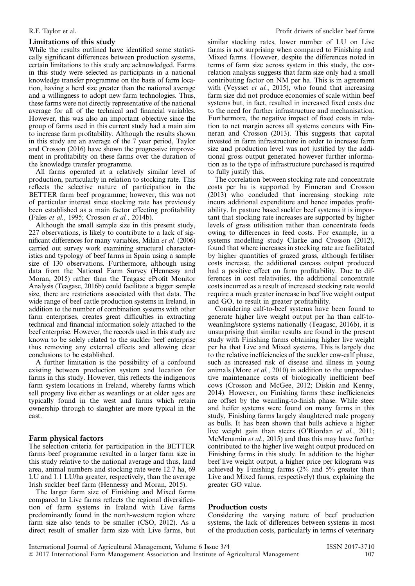### Limitations of this study

While the results outlined have identified some statistically significant differences between production systems, certain limitations to this study are acknowledged. Farms in this study were selected as participants in a national knowledge transfer programme on the basis of farm location, having a herd size greater than the national average and a willingness to adopt new farm technologies. Thus, these farms were not directly representative of the national average for all of the technical and financial variables. However, this was also an important objective since the group of farms used in this current study had a main aim to increase farm profitability. Although the results shown in this study are an average of the 7 year period, Taylor and Crosson (2016) have shown the progressive improvement in profitability on these farms over the duration of the knowledge transfer programme.

All farms operated at a relatively similar level of production, particularly in relation to stocking rate. This reflects the selective nature of participation in the BETTER farm beef programme; however, this was not of particular interest since stocking rate has previously been established as a main factor effecting profitability (Fales et al., 1995; Crosson et al., 2014b).

Although the small sample size in this present study, 227 observations, is likely to contribute to a lack of significant differences for many variables, Milán et al. (2006) carried out survey work examining structural characteristics and typology of beef farms in Spain using a sample size of 130 observations. Furthermore, although using data from the National Farm Survey (Hennessy and Moran, 2015) rather than the Teagasc eProfit Monitor Analysis (Teagasc, 2016b) could facilitate a bigger sample size, there are restrictions associated with that data. The wide range of beef cattle production systems in Ireland, in addition to the number of combination systems with other farm enterprises, creates great difficulties in extracting technical and financial information solely attached to the beef enterprise. However, the records used in this study are known to be solely related to the suckler beef enterprise thus removing any external effects and allowing clear conclusions to be established.

A further limitation is the possibility of a confound existing between production system and location for farms in this study. However, this reflects the indigenous farm system locations in Ireland, whereby farms which sell progeny live either as weanlings or at older ages are typically found in the west and farms which retain ownership through to slaughter are more typical in the east.

#### Farm physical factors

The selection criteria for participation in the BETTER farms beef programme resulted in a larger farm size in this study relative to the national average and thus, land area, animal numbers and stocking rate were 12.7 ha, 69 LU and 1.1 LU/ha greater, respectively, than the average Irish suckler beef farm (Hennessy and Moran, 2015).

The larger farm size of Finishing and Mixed farms compared to Live farms reflects the regional diversification of farm systems in Ireland with Live farms predominantly found in the north-western region where farm size also tends to be smaller (CSO, 2012). As a direct result of smaller farm size with Live farms, but

similar stocking rates, lower number of LU on Live farms is not surprising when compared to Finishing and Mixed farms. However, despite the differences noted in terms of farm size across system in this study, the correlation analysis suggests that farm size only had a small contributing factor on NM per ha. This is in agreement with (Veysset *et al.*, 2015), who found that increasing farm size did not produce economies of scale within beef systems but, in fact, resulted in increased fixed costs due to the need for further infrastructure and mechanisation. Furthermore, the negative impact of fixed costs in relation to net margin across all systems concurs with Finneran and Crosson (2013). This suggests that capital invested in farm infrastructure in order to increase farm size and production level was not justified by the additional gross output generated however further information as to the type of infrastructure purchased is required to fully justify this.

The correlation between stocking rate and concentrate costs per ha is supported by Finneran and Crosson (2013) who concluded that increasing stocking rate incurs additional expenditure and hence impedes profitability. In pasture based suckler beef systems it is important that stocking rate increases are supported by higher levels of grass utilisation rather than concentrate feeds owing to differences in feed costs. For example, in a systems modelling study Clarke and Crosson (2012), found that where increases in stocking rate are facilitated by higher quantities of grazed grass, although fertiliser costs increase, the additional carcass output produced had a positive effect on farm profitability. Due to differences in cost relativities, the additional concentrate costs incurred as a result of increased stocking rate would require a much greater increase in beef live weight output and GO, to result in greater profitability.

Considering calf-to-beef systems have been found to generate higher live weight output per ha than calf-toweanling/store systems nationally (Teagasc, 2016b), it is unsurprising that similar results are found in the present study with Finishing farms obtaining higher live weight per ha that Live and Mixed systems. This is largely due to the relative inefficiencies of the suckler cow-calf phase, such as increased risk of disease and illness in young animals (More et al., 2010) in addition to the unproductive maintenance costs of biologically inefficient beef cows (Crosson and McGee, 2012; Diskin and Kenny, 2014). However, on Finishing farms these inefficiencies are offset by the weanling-to-finish phase. While steer and heifer systems were found on many farms in this study, Finishing farms largely slaughtered male progeny as bulls. It has been shown that bulls achieve a higher live weight gain than steers (O'Riordan et al., 2011; McMenamin *et al.*, 2015) and thus this may have further contributed to the higher live weight output produced on Finishing farms in this study. In addition to the higher beef live weight output, a higher price per kilogram was achieved by Finishing farms  $(2\%$  and  $5\%$  greater than Live and Mixed farms, respectively) thus, explaining the greater GO value.

#### Production costs

Considering the varying nature of beef production systems, the lack of differences between systems in most of the production costs, particularly in terms of veterinary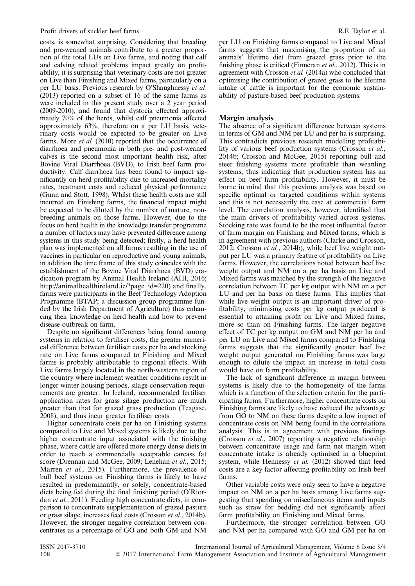#### Profit drivers of suckler beef farms **Profit drivers** of suckler beef farms **R.F. Taylor** et al.

costs, is somewhat surprising. Considering that breeding and pre-weaned animals contribute to a greater proportion of the total LUs on Live farms, and noting that calf and calving related problems impact greatly on profitability, it is surprising that veterinary costs are not greater on Live than Finishing and Mixed farms, particularly on a per LU basis. Previous research by O'Shaughnessy et al. (2013) reported on a subset of 16 of the same farms as were included in this present study over a 2 year period (2009-2010), and found that dystocia effected approximately 70% of the herds, whilst calf pneumonia affected approximately 63%, therefore on a per LU basis, veterinary costs would be expected to be greater on Live farms. More *et al.* (2010) reported that the occurrence of diarrhoea and pneumonia in both pre- and post-weaned calves is the second most important health risk, after Bovine Viral Diarrhoea (BVD), to Irish beef farm productivity. Calf diarrhoea has been found to impact significantly on herd profitability due to increased mortality rates, treatment costs and reduced physical performance (Gunn and Stott, 1998). Whilst these health costs are still incurred on Finishing farms, the financial impact might be expected to be diluted by the number of mature, nonbreeding animals on those farms. However, due to the focus on herd health in the knowledge transfer programme a number of factors may have prevented difference among systems in this study being detected; firstly, a herd health plan was implemented on all farms resulting in the use of vaccines in particular on reproductive and young animals, in addition the time frame of this study coincides with the establishment of the Bovine Viral Diarrhoea (BVD) eradication program by Animal Health Ireland (AHI, 2016; http://animalhealthireland.ie/?page\_id=220) and finally, farms were participants in the Beef Technology Adoption Programme (BTAP; a discussion group programme funded by the Irish Department of Agriculture) thus enhancing their knowledge on herd health and how to prevent disease outbreak on farm.

Despite no significant differences being found among systems in relation to fertiliser costs, the greater numerical difference between fertiliser costs per ha and stocking rate on Live farms compared to Finishing and Mixed farms is probably attributable to regional effects. With Live farms largely located in the north-western region of the country where inclement weather conditions result in longer winter housing periods, silage conservation requirements are greater. In Ireland, recommended fertiliser application rates for grass silage production are much greater than that for grazed grass production (Teagasc, 2008), and thus incur greater fertiliser costs.

Higher concentrate costs per ha on Finishing systems compared to Live and Mixed systems is likely due to the higher concentrate input associated with the finishing phase, where cattle are offered more energy dense diets in order to reach a commercially acceptable carcass fat score (Drennan and McGee, 2009; Lenehan et al., 2015; Marren et al., 2015). Furthermore, the prevalence of bull beef systems on Finishing farms is likely to have resulted in predominantly, or solely, concentrate-based diets being fed during the final finishing period (O'Riordan *et al.*, 2011). Feeding high concentrate diets, in comparison to concentrate supplementation of grazed pasture or grass silage, increases feed costs (Crosson et al., 2014b). However, the stronger negative correlation between concentrates as a percentage of GO and both GM and NM

per LU on Finishing farms compared to Live and Mixed farms suggests that maximising the proportion of an animals' lifetime diet from grazed grass prior to the finishing phase is critical (Finneran et al., 2012). This is in agreement with Crosson et al. (2014a) who concluded that optimising the contribution of grazed grass to the lifetime intake of cattle is important for the economic sustainability of pasture-based beef production systems.

### Margin analysis

The absence of a significant difference between systems in terms of GM and NM per LU and per ha is surprising. This contradicts previous research modelling profitability of various beef production systems (Crosson et al., 2014b; Crosson and McGee, 2015) reporting bull and steer finishing systems more profitable than weanling systems, thus indicating that production system has an effect on beef farm profitability. However, it must be borne in mind that this previous analysis was based on specific optimal or targeted conditions within systems and this is not necessarily the case at commercial farm level. The correlation analysis, however, identified that the main drivers of profitability varied across systems. Stocking rate was found to be the most influential factor of farm margin on Finishing and Mixed farms, which is in agreement with previous authors (Clarke and Crosson, 2012; Crosson et al., 2014b), while beef live weight output per LU was a primary feature of profitability on Live farms. However, the correlations noted between beef live weight output and NM on a per ha basis on Live and Mixed farms was matched by the strength of the negative correlation between TC per kg output with NM on a per LU and per ha basis on these farms. This implies that while live weight output is an important driver of profitability, minimising costs per kg output produced is essential to attaining profit on Live and Mixed farms, more so than on Finishing farms. The larger negative effect of TC per kg output on GM and NM per ha and per LU on Live and Mixed farms compared to Finishing farms suggests that the significantly greater beef live weight output generated on Finishing farms was large enough to dilute the impact an increase in total costs would have on farm profitability.

The lack of significant difference in margin between systems is likely due to the homogeneity of the farms which is a function of the selection criteria for the participating farms. Furthermore, higher concentrate costs on Finishing farms are likely to have reduced the advantage from GO to NM on these farms despite a low impact of concentrate costs on NM being found in the correlations analysis. This is in agreement with previous findings (Crosson et al., 2007) reporting a negative relationship between concentrate usage and farm net margin when concentrate intake is already optimised in a blueprint system, while Hennessy et al. (2012) showed that feed costs are a key factor affecting profitability on Irish beef farms.

Other variable costs were only seen to have a negative impact on NM on a per ha basis among Live farms suggesting that spending on miscellaneous items and inputs such as straw for bedding did not significantly affect farm profitability on Finishing and Mixed farms.

Furthermore, the stronger correlation between GO and NM per ha compared with GO and GM per ha on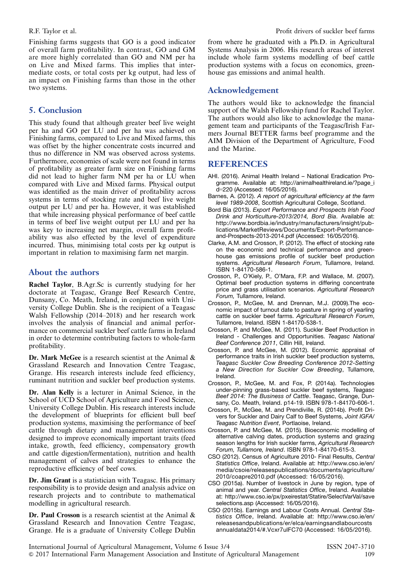Finishing farms suggests that GO is a good indicator of overall farm profitability. In contrast, GO and GM are more highly correlated than GO and NM per ha on Live and Mixed farms. This implies that intermediate costs, or total costs per kg output, had less of an impact on Finishing farms than those in the other two systems.

# 5. Conclusion

This study found that although greater beef live weight per ha and GO per LU and per ha was achieved on Finishing farms, compared to Live and Mixed farms, this was offset by the higher concentrate costs incurred and thus no difference in NM was observed across systems. Furthermore, economies of scale were not found in terms of profitability as greater farm size on Finishing farms did not lead to higher farm NM per ha or LU when compared with Live and Mixed farms. Physical output was identified as the main driver of profitability across systems in terms of stocking rate and beef live weight output per LU and per ha. However, it was established that while increasing physical performance of beef cattle in terms of beef live weight output per LU and per ha was key to increasing net margin, overall farm profitability was also effected by the level of expenditure incurred. Thus, minimising total costs per kg output is important in relation to maximising farm net margin.

# About the authors

Rachel Taylor, B.Agr.Sc is currently studying for her doctorate at Teagasc, Grange Beef Research Centre, Dunsany, Co. Meath, Ireland, in conjunction with University College Dublin. She is the recipient of a Teagasc Walsh Fellowship (2014–2018) and her research work involves the analysis of financial and animal performance on commercial suckler beef cattle farms in Ireland in order to determine contributing factors to whole-farm profitability.

Dr. Mark McGee is a research scientist at the Animal & Grassland Research and Innovation Centre Teagasc, Grange. His research interests include feed efficiency, ruminant nutrition and suckler beef production systems.

Dr. Alan Kelly is a lecturer in Animal Science, in the School of UCD School of Agriculture and Food Science, University College Dublin. His research interests include the development of blueprints for efficient bull beef production systems, maximising the performance of beef cattle through dietary and management interventions designed to improve economically important traits (feed intake, growth, feed efficiency, compensatory growth and cattle digestion/fermentation), nutrition and health management of calves and strategies to enhance the reproductive efficiency of beef cows.

Dr. Jim Grant is a statistician with Teagasc. His primary responsibility is to provide design and analysis advice on research projects and to contribute to mathematical modelling in agricultural research.

Dr. Paul Crosson is a research scientist at the Animal & Grassland Research and Innovation Centre Teagasc, Grange. He is a graduate of University College Dublin from where he graduated with a Ph.D. in Agricultural Systems Analysis in 2006. His research areas of interest include whole farm systems modelling of beef cattle production systems with a focus on economics, greenhouse gas emissions and animal health.

# Acknowledgement

The authors would like to acknowledge the financial support of the Walsh Fellowship fund for Rachel Taylor. The authors would also like to acknowledge the management team and participants of the Teagasc/Irish Farmers Journal BETTER farms beef programme and the AIM Division of the Department of Agriculture, Food and the Marine.

# **REFERENCES**

- AHI. (2016). Animal Health Ireland National Eradication Programme. Available at: http://animalhealthireland.ie/?page\_i d=220 (Accessed: 16/05/2016).
- Barnes, A. (2012). A report of agricultural efficiency at the farm level 1989-2008, Scottish Agricultural College, Scotland.
- Bord Bia (2013). Export Performance and Prospects Irish Food Drink and Horticulture-2013/2014, Bord Bia. Available at: http://www.bordbia.ie/industry/manufacturers/insight/publications/MarketReviews/Documents/Export-Performanceand-Prospects-2013-2014.pdf (Accessed: 16/05/2016).
- Clarke, A.M. and Crosson, P. (2012). The effect of stocking rate on the economic and technical performance and greenhouse gas emissions profile of suckler beef production systems. Agricultural Research Forum, Tullamore, Ireland. ISBN 1-84170-586-1.
- Crosson, P., O'Kiely, P., O'Mara, F.P. and Wallace, M. (2007). Optimal beef production systems in differing concentrate price and grass utilisation scenarios. Agricultural Research Forum, Tullamore, Ireland.
- Crosson, P., McGee, M. and Drennan, M.J. (2009).The economic impact of turnout date to pasture in spring of yearling cattle on suckler beef farms. Agricultural Research Forum, Tullamore, Ireland. ISBN 1-84170-538-1.
- Crosson, P. and McGee, M. (2011). Suckler Beef Production in Ireland - Challenges and Opportunities. Teagasc National Beef Conference 2011, Cillin Hill, Ireland.
- Crosson, P. and McGee, M. (2012). Economic appraisal of performance traits in Irish suckler beef production systems, Teagasc Suckler Cow Breeding Conference 2012-Setting a New Direction for Suckler Cow Breeding, Tullamore, Ireland.
- Crosson, P., McGee, M. and Fox, P. (2014a). Technologies under-pinning grass-based suckler beef systems, Teagasc Beef 2014: The Business of Cattle. Teagasc, Grange, Dunsany, Co. Meath, Ireland. p14-19. ISBN 978-1-84170-606-1.
- Crosson, P., McGee, M. and Prendiville, R. (2014b). Profit Drivers for Suckler and Dairy Calf to Beef Systems, Joint IGFA/ Teagasc Nutrition Event, Portlaoise, Ireland.
- Crosson, P. and McGee, M. (2015). Bioeconomic modelling of alternative calving dates, production systems and grazing season lengths for Irish suckler farms, Agricultural Research Forum, Tullamore, Ireland. ISBN 978-1-84170-615-3.
- CSO (2012). Census of Agriculture 2010- Final Results, Central Statistics Office, Ireland. Available at: http://www.cso.ie/en/ media/csoie/releasespublications/documents/agriculture/ 2010/coapre2010.pdf (Accessed: 16/05/2016).
- CSO (2015a). Number of livestock in June by region, type of animal and year. Central Statistics Office, Ireland. Available at: http://www.cso.ie/px/pxeirestat/Statire/SelectVarVal/save selections.asp (Accessed: 16/05/2016).
- CSO (2015b). Earnings and Labour Costs Annual. Central Statistics Office, Ireland. Available at: http://www.cso.ie/en/ releasesandpublications/er/elca/earningsandlabourcosts annualdata2014/#.Vcxr7ulFC70 (Accessed: 16/05/2016).